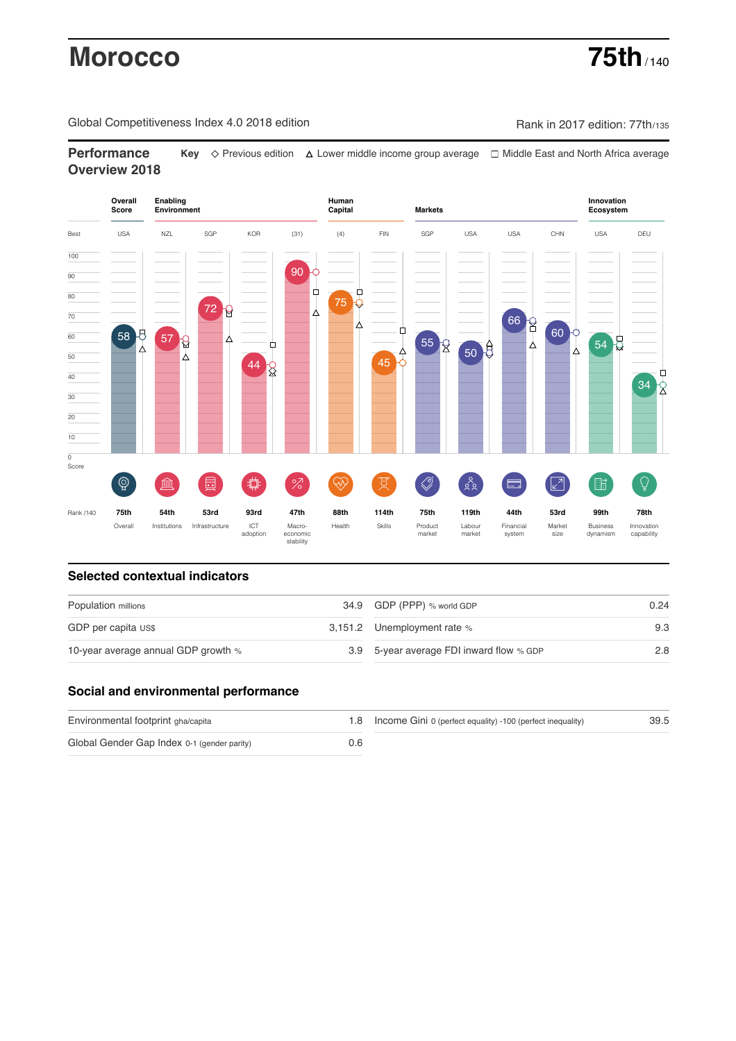# **Morocco 75th** / 140

Global Competitiveness Index 4.0 2018 edition Company Rank in 2017 edition: 77th/135

**Performance Key** Previous edition Lower middle income group average Middle East and North Africa average **Overview 2018**



# **Selected contextual indicators**

| Population millions                 | 34.9 GDP (PPP) % world GDP               | 0.24 |  |
|-------------------------------------|------------------------------------------|------|--|
| GDP per capita US\$                 | 3,151.2 Unemployment rate %              | 9.3  |  |
| 10-year average annual GDP growth % | 3.9 5-year average FDI inward flow % GDP | 2.8  |  |

# **Social and environmental performance**

| Environmental footprint gha/capita          |     | 1.8 Income Gini 0 (perfect equality) -100 (perfect inequality) | 39.5 |
|---------------------------------------------|-----|----------------------------------------------------------------|------|
| Global Gender Gap Index 0-1 (gender parity) | 0.6 |                                                                |      |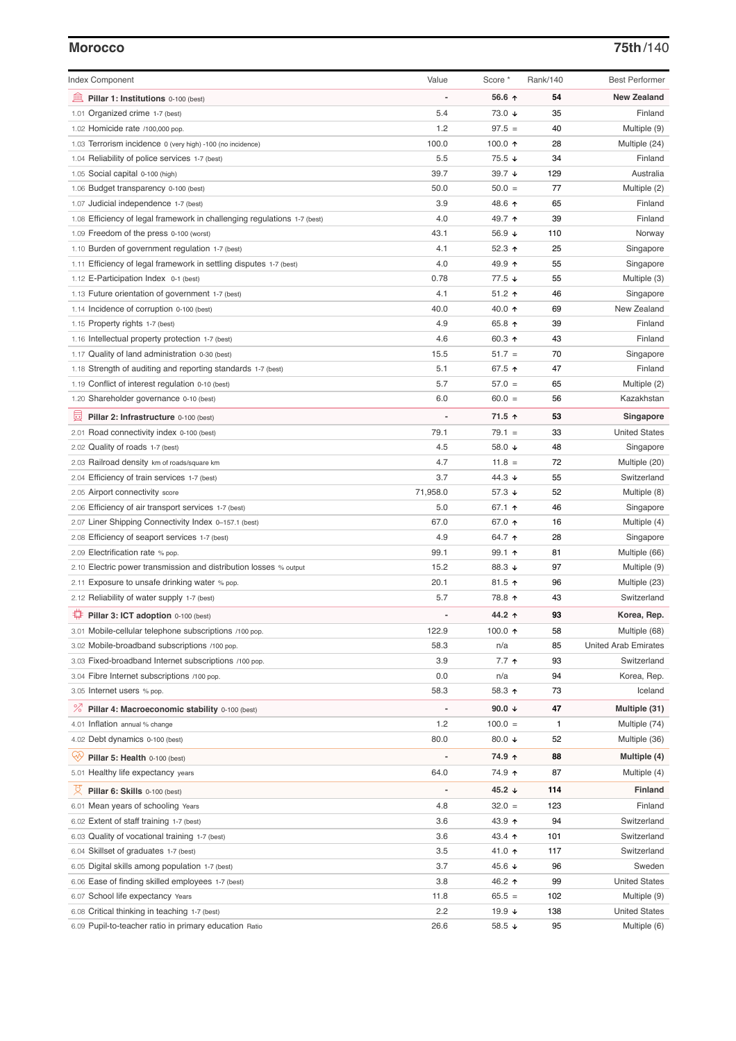### **Morocco 75th**/140

| <b>Index Component</b>                                                   | Value    | Score *           | Rank/140     | <b>Best Performer</b>       |
|--------------------------------------------------------------------------|----------|-------------------|--------------|-----------------------------|
| 無<br>Pillar 1: Institutions 0-100 (best)                                 |          | 56.6 ↑            | 54           | <b>New Zealand</b>          |
| 1.01 Organized crime 1-7 (best)                                          | 5.4      | 73.0 ↓            | 35           | Finland                     |
| 1.02 Homicide rate /100,000 pop.                                         | 1.2      | $97.5 =$          | 40           | Multiple (9)                |
| 1.03 Terrorism incidence 0 (very high) -100 (no incidence)               | 100.0    | 100.0 $\uparrow$  | 28           | Multiple (24)               |
| 1.04 Reliability of police services 1-7 (best)                           | 5.5      | 75.5 ↓            | 34           | Finland                     |
| 1.05 Social capital 0-100 (high)                                         | 39.7     | 39.7 ↓            | 129          | Australia                   |
| 1.06 Budget transparency 0-100 (best)                                    | 50.0     | $50.0 =$          | 77           | Multiple (2)                |
| 1.07 Judicial independence 1-7 (best)                                    | 3.9      | 48.6 ↑            | 65           | Finland                     |
| 1.08 Efficiency of legal framework in challenging regulations 1-7 (best) | 4.0      | 49.7 ↑            | 39           | Finland                     |
| 1.09 Freedom of the press 0-100 (worst)                                  | 43.1     | 56.9 ↓            | 110          | Norway                      |
| 1.10 Burden of government regulation 1-7 (best)                          | 4.1      | 52.3 $\uparrow$   | 25           | Singapore                   |
| 1.11 Efficiency of legal framework in settling disputes 1-7 (best)       | 4.0      | 49.9 ↑            | 55           | Singapore                   |
| 1.12 E-Participation Index 0-1 (best)                                    | 0.78     | 77.5 ↓            | 55           | Multiple (3)                |
| 1.13 Future orientation of government 1-7 (best)                         | 4.1      | $51.2$ ↑          | 46           | Singapore                   |
| 1.14 Incidence of corruption 0-100 (best)                                | 40.0     | 40.0 ↑            | 69           | New Zealand                 |
| 1.15 Property rights 1-7 (best)                                          | 4.9      | 65.8 ↑            | 39           | Finland                     |
| 1.16 Intellectual property protection 1-7 (best)                         | 4.6      | 60.3 $\uparrow$   | 43           | Finland                     |
| 1.17 Quality of land administration 0-30 (best)                          | 15.5     | $51.7 =$          | 70           | Singapore                   |
| 1.18 Strength of auditing and reporting standards 1-7 (best)             | 5.1      | 67.5 ↑            | 47           | Finland                     |
| 1.19 Conflict of interest regulation 0-10 (best)                         | 5.7      | $57.0 =$          | 65           | Multiple (2)                |
| 1.20 Shareholder governance 0-10 (best)                                  | 6.0      | $60.0 =$          | 56           | Kazakhstan                  |
|                                                                          |          | 71.5 ↑            |              |                             |
| 囩<br>Pillar 2: Infrastructure 0-100 (best)                               |          |                   | 53           | Singapore                   |
| 2.01 Road connectivity index 0-100 (best)                                | 79.1     | $79.1 =$          | 33           | <b>United States</b>        |
| 2.02 Quality of roads 1-7 (best)                                         | 4.5      | 58.0 ↓            | 48           | Singapore                   |
| 2.03 Railroad density km of roads/square km                              | 4.7      | $11.8 =$          | 72           | Multiple (20)               |
| 2.04 Efficiency of train services 1-7 (best)                             | 3.7      | 44.3 $\downarrow$ | 55           | Switzerland                 |
| 2.05 Airport connectivity score                                          | 71,958.0 | 57.3 ↓            | 52           | Multiple (8)                |
| 2.06 Efficiency of air transport services 1-7 (best)                     | 5.0      | 67.1 ↑            | 46           | Singapore                   |
| 2.07 Liner Shipping Connectivity Index 0-157.1 (best)                    | 67.0     | 67.0 ↑            | 16           | Multiple (4)                |
| 2.08 Efficiency of seaport services 1-7 (best)                           | 4.9      | 64.7 ተ            | 28           | Singapore                   |
| 2.09 Electrification rate % pop.                                         | 99.1     | $99.1$ 1          | 81           | Multiple (66)               |
| 2.10 Electric power transmission and distribution losses % output        | 15.2     | 88.3 ↓            | 97           | Multiple (9)                |
| 2.11 Exposure to unsafe drinking water % pop.                            | 20.1     | 81.5 $\uparrow$   | 96           | Multiple (23)               |
| 2.12 Reliability of water supply 1-7 (best)                              | 5.7      | 78.8 ↑            | 43           | Switzerland                 |
| ₽<br>Pillar 3: ICT adoption 0-100 (best)                                 |          | 44.2 ↑            | 93           | Korea, Rep.                 |
| 3.01 Mobile-cellular telephone subscriptions /100 pop.                   | 122.9    | 100.0 $\uparrow$  | 58           | Multiple (68)               |
| 3.02 Mobile-broadband subscriptions /100 pop.                            | 58.3     | n/a               | 85           | <b>United Arab Emirates</b> |
| 3.03 Fixed-broadband Internet subscriptions /100 pop.                    | 3.9      | 7.7 <sub>0</sub>  | 93           | Switzerland                 |
| 3.04 Fibre Internet subscriptions /100 pop.                              | 0.0      | n/a               | 94           | Korea, Rep.                 |
| 3.05 Internet users % pop.                                               | 58.3     | 58.3 ↑            | 73           | Iceland                     |
| <sup>%</sup> Pillar 4: Macroeconomic stability 0-100 (best)              |          | 90.0 $\downarrow$ | 47           | Multiple (31)               |
| 4.01 Inflation annual % change                                           | 1.2      | $100.0 =$         | $\mathbf{1}$ | Multiple (74)               |
| 4.02 Debt dynamics 0-100 (best)                                          | 80.0     | 80.0 $\sqrt{ }$   | 52           | Multiple (36)               |
| Qv                                                                       |          |                   | 88           |                             |
| Pillar 5: Health 0-100 (best)                                            |          | 74.9 ↑            |              | Multiple (4)                |
| 5.01 Healthy life expectancy years                                       | 64.0     | 74.9 ተ            | 87           | Multiple (4)                |
| 섯<br>Pillar 6: Skills 0-100 (best)                                       |          | 45.2 ↓            | 114          | <b>Finland</b>              |
| 6.01 Mean years of schooling Years                                       | 4.8      | $32.0 =$          | 123          | Finland                     |
| 6.02 Extent of staff training 1-7 (best)                                 | 3.6      | 43.9 ↑            | 94           | Switzerland                 |
| 6.03 Quality of vocational training 1-7 (best)                           | 3.6      | 43.4 ↑            | 101          | Switzerland                 |
| 6.04 Skillset of graduates 1-7 (best)                                    | 3.5      | 41.0 ↑            | 117          | Switzerland                 |
| Digital skills among population 1-7 (best)<br>6.05                       | 3.7      | 45.6 ↓            | 96           | Sweden                      |
| Ease of finding skilled employees 1-7 (best)<br>6.06                     | 3.8      | 46.2 ↑            | 99           | <b>United States</b>        |
| 6.07 School life expectancy Years                                        | 11.8     | $65.5 =$          | 102          | Multiple (9)                |
| 6.08 Critical thinking in teaching 1-7 (best)                            | 2.2      | 19.9 $\sqrt{ }$   | 138          | <b>United States</b>        |
| 6.09 Pupil-to-teacher ratio in primary education Ratio                   | 26.6     | 58.5 ↓            | 95           | Multiple (6)                |